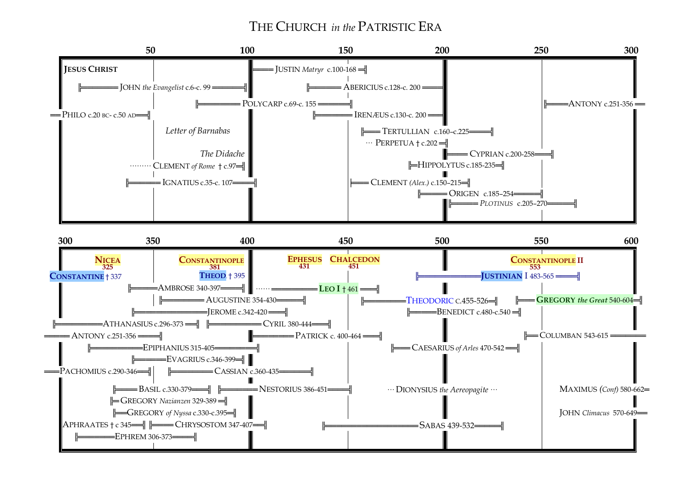# THE CHURCH *in the* PATRISTIC ERA